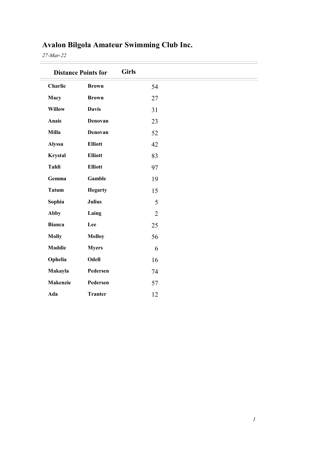| <b>Distance Points for</b> |                | <b>Girls</b>   |  |
|----------------------------|----------------|----------------|--|
| Charlie                    | <b>Brown</b>   | 54             |  |
| Macy                       | <b>Brown</b>   | 27             |  |
| <b>Willow</b>              | <b>Davis</b>   | 31             |  |
| Anais                      | Denovan        | 23             |  |
| Milla                      | Denovan        | 52             |  |
| <b>Alyssa</b>              | <b>Elliott</b> | 42             |  |
| Krystal                    | <b>Elliott</b> | 83             |  |
| Tahli                      | <b>Elliott</b> | 97             |  |
| Gemma                      | Gamble         | 19             |  |
| <b>Tatum</b>               | <b>Hegarty</b> | 15             |  |
| Sophia                     | <b>Julius</b>  | 5              |  |
| <b>Abby</b>                | Laing          | $\overline{2}$ |  |
| <b>Bianca</b>              | Lee            | 25             |  |
| <b>Molly</b>               | <b>Molloy</b>  | 56             |  |
| <b>Maddie</b>              | <b>Myers</b>   | 6              |  |
| Ophelia                    | Odell          | 16             |  |
| Makayla                    | Pedersen       | 74             |  |
| <b>Makenzie</b>            | Pedersen       | 57             |  |
| Ada                        | <b>Tranter</b> | 12             |  |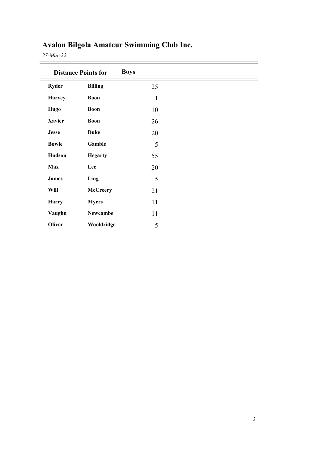|               | <b>Distance Points for</b> | <b>Boys</b>  |
|---------------|----------------------------|--------------|
| <b>Ryder</b>  | <b>Billing</b>             | 25           |
| <b>Harvey</b> | <b>Boon</b>                | $\mathbf{1}$ |
| <b>Hugo</b>   | <b>Boon</b>                | 10           |
| <b>Xavier</b> | <b>Boon</b>                | 26           |
| <b>Jesse</b>  | <b>Duke</b>                | 20           |
| <b>Bowie</b>  | Gamble                     | 5            |
| Hudson        | <b>Hegarty</b>             | 55           |
| Max           | Lee                        | 20           |
| <b>James</b>  | Ling                       | 5            |
| Will          | <b>McCreery</b>            | 21           |
| <b>Harry</b>  | <b>Myers</b>               | 11           |
| Vaughn        | Newcombe                   | 11           |
| Oliver        | Wooldridge                 | 5            |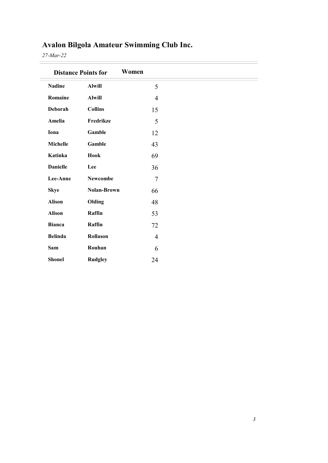|                 | <b>Distance Points for</b> | Women          |
|-----------------|----------------------------|----------------|
| <b>Nadine</b>   | <b>Alwill</b>              | 5              |
| Romaine         | <b>Alwill</b>              | $\overline{4}$ |
| Deborah         | <b>Collins</b>             | 15             |
| Amelia          | Fredrikze                  | 5              |
| Iona            | Gamble                     | 12             |
| Michelle        | Gamble                     | 43             |
| Katinka         | Hook                       | 69             |
| <b>Danielle</b> | Lee                        | 36             |
| Lee-Anne        | Newcombe                   | $\overline{7}$ |
| <b>Skye</b>     | <b>Nolan-Brown</b>         | 66             |
| <b>Alison</b>   | Olding                     | 48             |
| <b>Alison</b>   | Raffin                     | 53             |
| <b>Bianca</b>   | Raffin                     | 72             |
| <b>Belinda</b>  | Rollason                   | $\overline{4}$ |
| Sam             | Rouhan                     | 6              |
| <b>Shonel</b>   | <b>Rudgley</b>             | 24             |